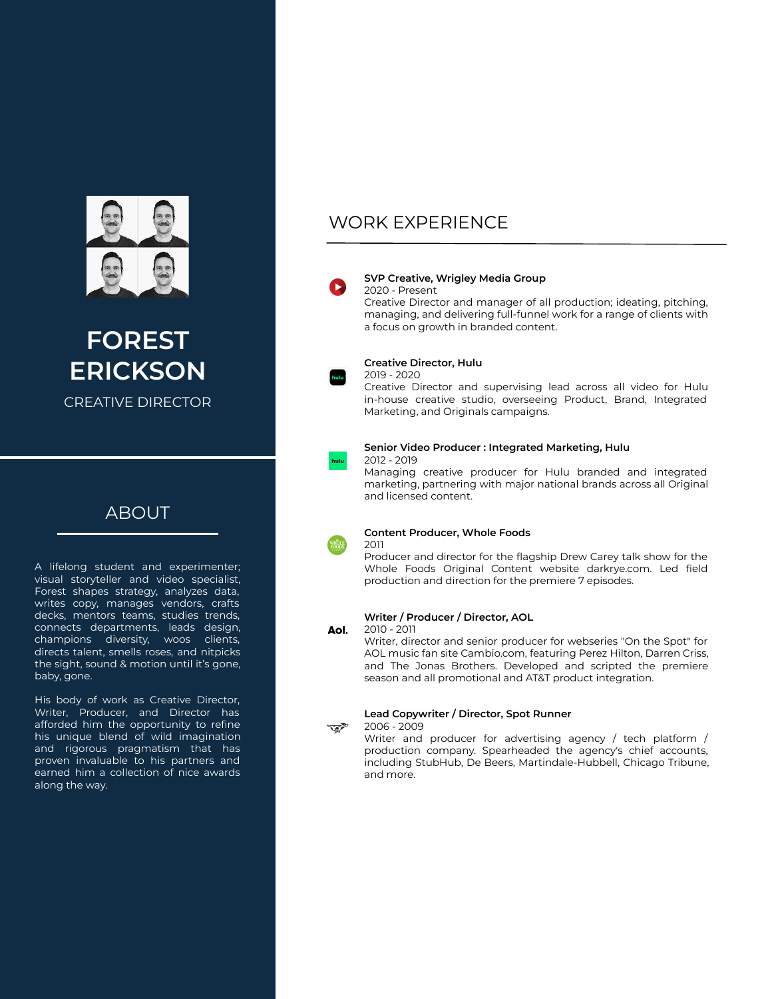

**FOREST ERICKSON**

CREATIVE DIRECTOR

## ABOUT

A lifelong student and experimenter; visual storyteller and video specialist, Forest shapes strategy, analyzes data, writes copy, manages vendors, crafts decks, mentors teams, studies trends, connects departments, leads design, champions diversity, woos clients, directs talent, smells roses, and nitpicks the sight, sound & motion until it's gone, baby, gone.

His body of work as Creative Director, Writer, Producer, and Director has afforded him the opportunity to refine his unique blend of wild imagination and rigorous pragmatism that has proven invaluable to his partners and earned him a collection of nice awards along the way.

## WORK EXPERIENCE



## **SVP Creative, Wrigley Media Group**

2020 - Present

Creative Director and manager of all production; ideating, pitching, managing, and delivering full-funnel work for a range of clients with a focus on growth in branded content.



## **Creative Director, Hulu**

2019 - 2020

Creative Director and supervising lead across all video for Hulu in-house creative studio, overseeing Product, Brand, Integrated Marketing, and Originals campaigns.



### **Senior Video Producer : Integrated Marketing, Hulu**

2012 - 2019

Managing creative producer for Hulu branded and integrated marketing, partnering with major national brands across all Original and licensed content.



### **Content Producer, Whole Foods**

Producer and director for the flagship Drew Carey talk show for the Whole Foods Original Content website darkrye.com. Led field production and direction for the premiere 7 episodes.

### **Writer / Producer / Director, AOL**

#### Aol. 2010 - 2011

2011

Writer, director and senior producer for webseries "On the Spot" for AOL music fan site Cambio.com, featuring Perez Hilton, Darren Criss, and The Jonas Brothers. Developed and scripted the premiere season and all promotional and AT&T product integration.

## **Lead Copywriter / Director, Spot Runner**

2006 - 2009 प्क∕े

> Writer and producer for advertising agency / tech platform / production company. Spearheaded the agency's chief accounts, including StubHub, De Beers, Martindale-Hubbell, Chicago Tribune, and more.